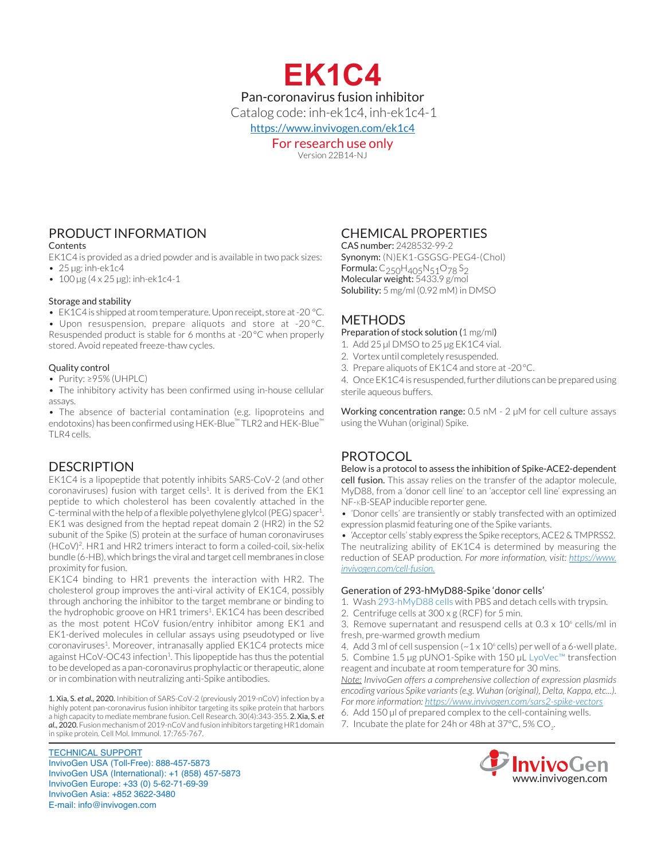

Version 22B14-NJ

# PRODUCT INFORMATION

Contents

EK1C4 is provided as a dried powder and is available in two pack sizes: • 25 µg: inh-ek1c4

•  $100 \,\mu g$  (4 x 25  $\mu g$ ): inh-ek1c4-1

### Storage and stability

• EK1C4 is shipped at room temperature. Upon receipt, store at -20 °C.

• Upon resuspension, prepare aliquots and store at -20 °C. Resuspended product is stable for 6 months at -20°C when properly stored. Avoid repeated freeze-thaw cycles.

### Quality control

• Purity: ≥95% (UHPLC)

• The inhibitory activity has been confirmed using in-house cellular assays.

• The absence of bacterial contamination (e.g. lipoproteins and endotoxins) has been confirmed using HEK-Blue™ TLR2 and HEK-Blue™ TLR4 cells.

### DESCRIPTION

EK1C4 is a lipopeptide that potently inhibits SARS-CoV-2 (and other  $coronaviruses$ ) fusion with target cells<sup>1</sup>. It is derived from the  $EK1$ peptide to which cholesterol has been covalently attached in the C-terminal with the help of a flexible polyethylene glylcol (PEG) spacer<sup>1</sup>. EK1 was designed from the heptad repeat domain 2 (HR2) in the S2 subunit of the Spike (S) protein at the surface of human coronaviruses (HCoV)2. HR1 and HR2 trimers interact to form a coiled-coil, six-helix bundle (6-HB), which brings the viral and target cell membranes in close proximity for fusion.

EK1C4 binding to HR1 prevents the interaction with HR2. The cholesterol group improves the anti-viral activity of EK1C4, possibly through anchoring the inhibitor to the target membrane or binding to the hydrophobic groove on HR1 trimers<sup>1</sup>. EK1C4 has been described as the most potent HCoV fusion/entry inhibitor among EK1 and EK1-derived molecules in cellular assays using pseudotyped or live coronaviruses<sup>1</sup>. Moreover, intranasally applied EK1C4 protects mice against HCoV-OC43 infection<sup>1</sup>. This lipopeptide has thus the potential to be developed as a pan-coronavirus prophylactic or therapeutic, alone or in combination with neutralizing anti-Spike antibodies.

1. Xia, S. *et al.,* 2020. Inhibition of SARS-CoV-2 (previously 2019-nCoV) infection by a highly potent pan-coronavirus fusion inhibitor targeting its spike protein that harbors a high capacity to mediate membrane fusion. Cell Research. 30(4):343-355. 2. Xia, S. *et al.,* 2020. Fusion mechanism of 2019-nCoV and fusion inhibitors targeting HR1 domain in spike protein. Cell Mol. Immunol. 17:765-767.

TECHNICAL SUPPORT InvivoGen USA (Toll‑Free): 888-457-5873 InvivoGen USA (International): +1 (858) 457-5873 InvivoGen Europe: +33 (0) 5-62-71-69-39 InvivoGen Asia: +852 3622-3480 E-mail: info@invivogen.com

### CHEMICAL PROPERTIES

CAS number: 2428532-99-2 Synonym: (N)EK1-GSGSG-PEG4-(Chol) Formula: C<sub>250</sub>H<sub>405</sub>N<sub>51</sub>O<sub>78</sub>S<sub>2</sub> Molecular weight: 5433.9 g/mol Solubility: 5 mg/ml (0.92 mM) in DMSO

## METHODS

Preparation of stock solution (1 mg/ml)

- 1. Add 25 µl DMSO to 25 µg EK1C4 vial.
- 2. Vortex until completely resuspended.
- 3. Prepare aliquots of EK1C4 and store at -20°C.

4. Once EK1C4 is resuspended, further dilutions can be prepared using sterile aqueous buffers.

Working concentration range: 0.5 nM - 2 µM for cell culture assays using the Wuhan (original) Spike.

# **PROTOCOL**

Below is a protocol to assess the inhibition of Spike-ACE2-dependent cell fusion. This assay relies on the transfer of the adaptor molecule, MyD88, from a 'donor cell line' to an 'acceptor cell line' expressing an NF-κB‑SEAP inducible reporter gene.

*•* 'Donor cells' are transiently or stably transfected with an optimized expression plasmid featuring one of the Spike variants.

*•* 'Acceptor cells' stably express the Spike receptors, ACE2 & TMPRSS2. The neutralizing ability of EK1C4 is determined by measuring the reduction of SEAP production. *For more information, visit: https://www. invivogen.com/cell-fusion.*

### Generation of 293-hMyD88-Spike 'donor cells'

1. Wash 293-hMyD88 cells with PBS and detach cells with trypsin.

2. Centrifuge cells at 300 x g (RCF) for 5 min.

3. Remove supernatant and resuspend cells at  $0.3 \times 10^6$  cells/ml in fresh, pre-warmed growth medium

4. Add 3 ml of cell suspension  $(-1 \times 10^6$  cells) per well of a 6-well plate. 5. Combine 1.5 µg pUNO1-Spike with 150 µL LyoVec™ transfection

reagent and incubate at room temperature for 30 mins. *Note: InvivoGen offers a comprehensive collection of expression plasmids encoding various Spike variants (e.g. Wuhan (original), Delta, Kappa, etc...). For more information: https://www.invivogen.com/sars2-spike-vectors*

- 6. Add 150 µl of prepared complex to the cell-containing wells.
- 7. Incubate the plate for 24h or 48h at 37°C, 5% CO<sub>2</sub>. .